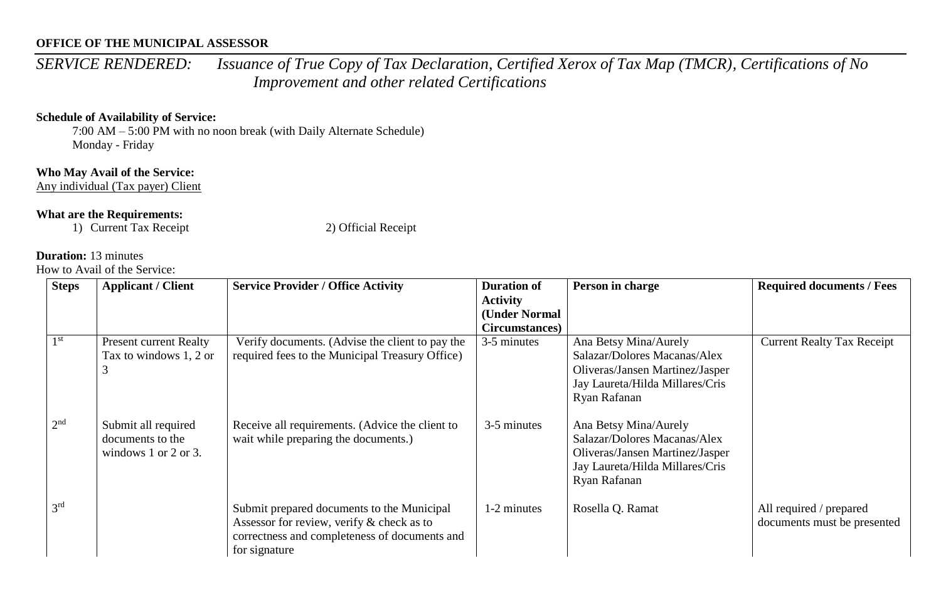*SERVICE RENDERED: Issuance of True Copy of Tax Declaration, Certified Xerox of Tax Map (TMCR), Certifications of No Improvement and other related Certifications*

#### **Schedule of Availability of Service:**

7:00 AM – 5:00 PM with no noon break (with Daily Alternate Schedule) Monday - Friday

### **Who May Avail of the Service:**

Any individual (Tax payer) Client

### **What are the Requirements:**

1) Current Tax Receipt 2) Official Receipt

# **Duration:** 13 minutes

| <b>Steps</b>    | <b>Applicant / Client</b>     | <b>Service Provider / Office Activity</b>       | <b>Duration of</b> | Person in charge                | <b>Required documents / Fees</b>  |
|-----------------|-------------------------------|-------------------------------------------------|--------------------|---------------------------------|-----------------------------------|
|                 |                               |                                                 | <b>Activity</b>    |                                 |                                   |
|                 |                               |                                                 | (Under Normal      |                                 |                                   |
|                 |                               |                                                 | Circumstances)     |                                 |                                   |
| 1 <sup>st</sup> | <b>Present current Realty</b> | Verify documents. (Advise the client to pay the | 3-5 minutes        | Ana Betsy Mina/Aurely           | <b>Current Realty Tax Receipt</b> |
|                 | Tax to windows 1, 2 or        | required fees to the Municipal Treasury Office) |                    | Salazar/Dolores Macanas/Alex    |                                   |
|                 |                               |                                                 |                    | Oliveras/Jansen Martinez/Jasper |                                   |
|                 |                               |                                                 |                    | Jay Laureta/Hilda Millares/Cris |                                   |
|                 |                               |                                                 |                    | Ryan Rafanan                    |                                   |
|                 |                               |                                                 |                    |                                 |                                   |
| 2 <sup>nd</sup> | Submit all required           | Receive all requirements. (Advice the client to | 3-5 minutes        | Ana Betsy Mina/Aurely           |                                   |
|                 | documents to the              | wait while preparing the documents.)            |                    | Salazar/Dolores Macanas/Alex    |                                   |
|                 | windows $1$ or $2$ or $3$ .   |                                                 |                    | Oliveras/Jansen Martinez/Jasper |                                   |
|                 |                               |                                                 |                    | Jay Laureta/Hilda Millares/Cris |                                   |
|                 |                               |                                                 |                    | Ryan Rafanan                    |                                   |
|                 |                               |                                                 |                    |                                 |                                   |
| 3 <sup>rd</sup> |                               | Submit prepared documents to the Municipal      | 1-2 minutes        | Rosella Q. Ramat                | All required / prepared           |
|                 |                               | Assessor for review, verify & check as to       |                    |                                 | documents must be presented       |
|                 |                               | correctness and completeness of documents and   |                    |                                 |                                   |
|                 |                               | for signature                                   |                    |                                 |                                   |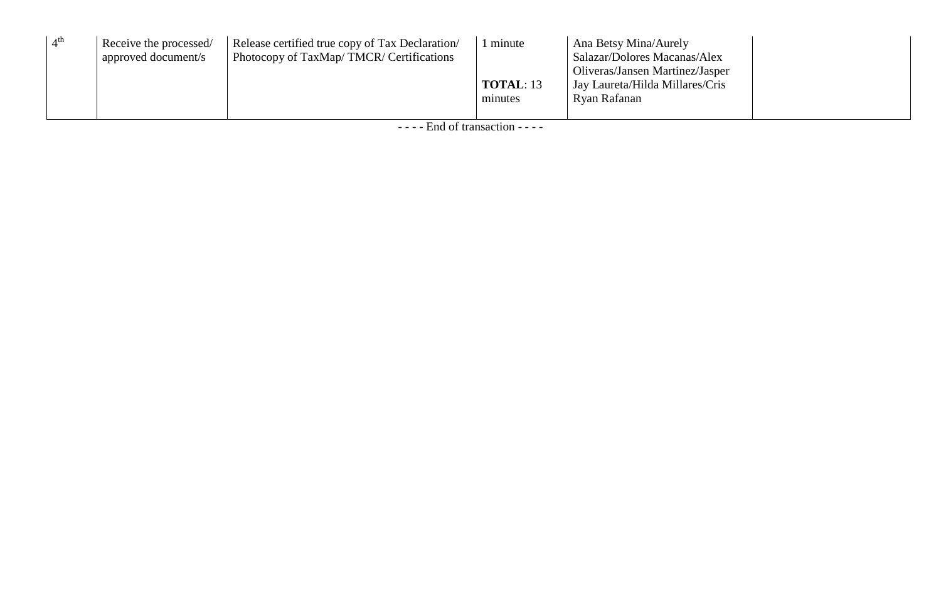| 4 <sup>th</sup> | Receive the processed/<br>approved document/s | Release certified true copy of Tax Declaration<br>Photocopy of TaxMap/TMCR/Certifications | minute<br><b>TOTAL: 13</b><br>minutes | Ana Betsy Mina/Aurely<br>Salazar/Dolores Macanas/Alex<br>Oliveras/Jansen Martinez/Jasper<br>Jay Laureta/Hilda Millares/Cris<br>Ryan Rafanan |  |
|-----------------|-----------------------------------------------|-------------------------------------------------------------------------------------------|---------------------------------------|---------------------------------------------------------------------------------------------------------------------------------------------|--|
|                 |                                               |                                                                                           |                                       |                                                                                                                                             |  |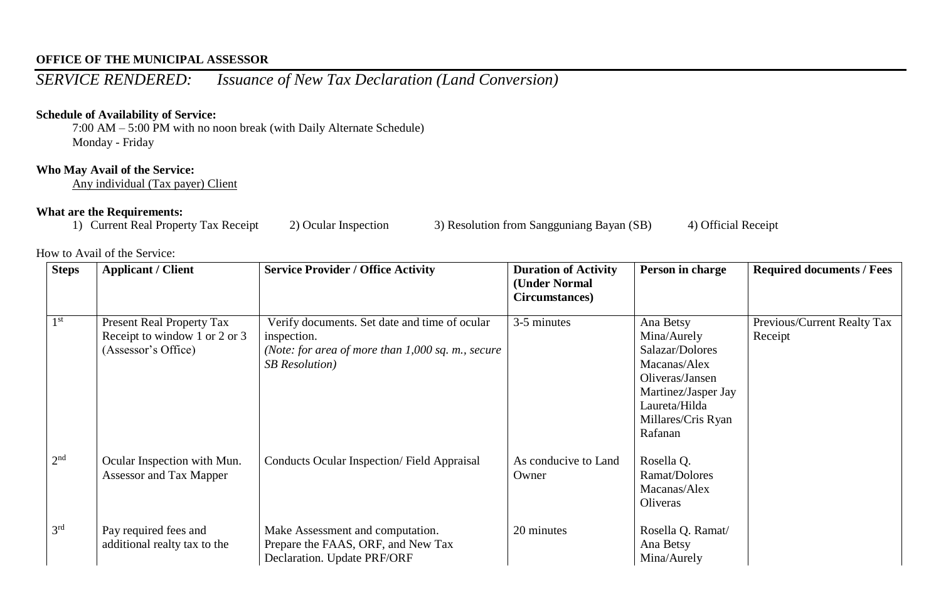# *SERVICE RENDERED: Issuance of New Tax Declaration (Land Conversion)*

### **Schedule of Availability of Service:**

7:00 AM – 5:00 PM with no noon break (with Daily Alternate Schedule) Monday - Friday

#### **Who May Avail of the Service:**

Any individual (Tax payer) Client

**What are the Requirements:**<br>1) Current Real Property Tax Receipt 2) Ocular Inspection 3) Resolution from Sangguniang Bayan (SB) 4) Official Receipt

| <b>Steps</b>    | <b>Applicant / Client</b>                                                                | <b>Service Provider / Office Activity</b>                                                                                                    | <b>Duration of Activity</b><br>(Under Normal<br>Circumstances) | Person in charge                                                                                                                                        | <b>Required documents / Fees</b>       |
|-----------------|------------------------------------------------------------------------------------------|----------------------------------------------------------------------------------------------------------------------------------------------|----------------------------------------------------------------|---------------------------------------------------------------------------------------------------------------------------------------------------------|----------------------------------------|
| $1^{\rm st}$    | <b>Present Real Property Tax</b><br>Receipt to window 1 or 2 or 3<br>(Assessor's Office) | Verify documents. Set date and time of ocular<br>inspection.<br>(Note: for area of more than $1,000$ sq. m., secure<br><b>SB</b> Resolution) | 3-5 minutes                                                    | Ana Betsy<br>Mina/Aurely<br>Salazar/Dolores<br>Macanas/Alex<br>Oliveras/Jansen<br>Martinez/Jasper Jay<br>Laureta/Hilda<br>Millares/Cris Ryan<br>Rafanan | Previous/Current Realty Tax<br>Receipt |
| 2 <sup>nd</sup> | Ocular Inspection with Mun.<br>Assessor and Tax Mapper                                   | <b>Conducts Ocular Inspection/Field Appraisal</b>                                                                                            | As conducive to Land<br>Owner                                  | Rosella Q.<br>Ramat/Dolores<br>Macanas/Alex<br>Oliveras                                                                                                 |                                        |
| 3 <sup>rd</sup> | Pay required fees and<br>additional realty tax to the                                    | Make Assessment and computation.<br>Prepare the FAAS, ORF, and New Tax<br>Declaration. Update PRF/ORF                                        | 20 minutes                                                     | Rosella Q. Ramat/<br>Ana Betsy<br>Mina/Aurely                                                                                                           |                                        |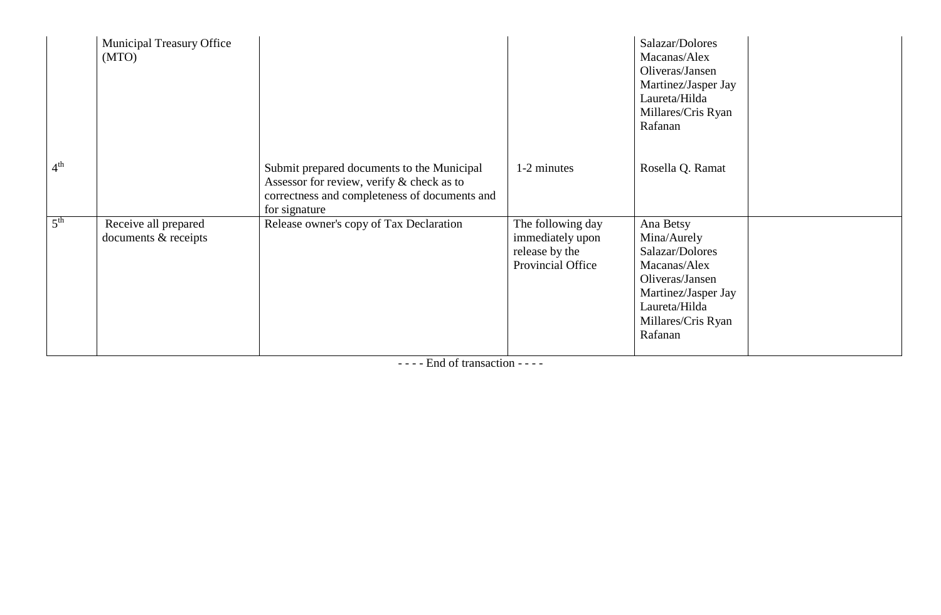|                 | <b>Municipal Treasury Office</b><br>(MTO)    |                                                                                                                                                           |                                                                              | Salazar/Dolores<br>Macanas/Alex<br>Oliveras/Jansen<br>Martinez/Jasper Jay<br>Laureta/Hilda<br>Millares/Cris Ryan<br>Rafanan                             |  |
|-----------------|----------------------------------------------|-----------------------------------------------------------------------------------------------------------------------------------------------------------|------------------------------------------------------------------------------|---------------------------------------------------------------------------------------------------------------------------------------------------------|--|
| 4 <sup>th</sup> |                                              | Submit prepared documents to the Municipal<br>Assessor for review, verify & check as to<br>correctness and completeness of documents and<br>for signature | 1-2 minutes                                                                  | Rosella Q. Ramat                                                                                                                                        |  |
| 5 <sup>th</sup> | Receive all prepared<br>documents & receipts | Release owner's copy of Tax Declaration                                                                                                                   | The following day<br>immediately upon<br>release by the<br>Provincial Office | Ana Betsy<br>Mina/Aurely<br>Salazar/Dolores<br>Macanas/Alex<br>Oliveras/Jansen<br>Martinez/Jasper Jay<br>Laureta/Hilda<br>Millares/Cris Ryan<br>Rafanan |  |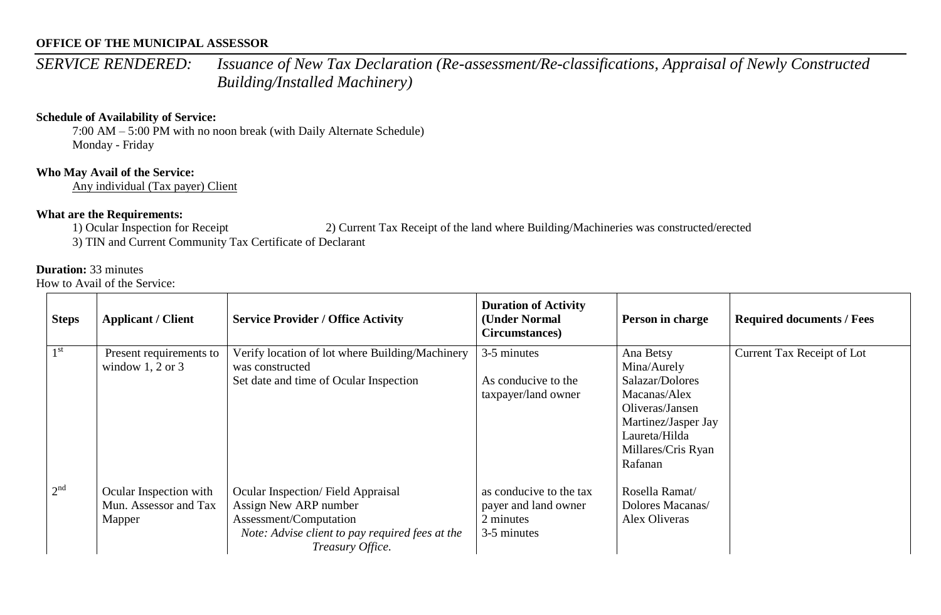*SERVICE RENDERED: Issuance of New Tax Declaration (Re-assessment/Re-classifications, Appraisal of Newly Constructed Building/Installed Machinery)*

#### **Schedule of Availability of Service:**

7:00 AM – 5:00 PM with no noon break (with Daily Alternate Schedule) Monday - Friday

## **Who May Avail of the Service:**

Any individual (Tax payer) Client

### **What are the Requirements:**

1) Ocular Inspection for Receipt 2) Current Tax Receipt of the land where Building/Machineries was constructed/erected

3) TIN and Current Community Tax Certificate of Declarant

#### **Duration:** 33 minutes

| <b>Steps</b>    | <b>Applicant / Client</b>                                 | <b>Service Provider / Office Activity</b>                                                                                                                   | <b>Duration of Activity</b><br>(Under Normal<br>Circumstances)              | Person in charge                                                                                                                                        | <b>Required documents / Fees</b> |
|-----------------|-----------------------------------------------------------|-------------------------------------------------------------------------------------------------------------------------------------------------------------|-----------------------------------------------------------------------------|---------------------------------------------------------------------------------------------------------------------------------------------------------|----------------------------------|
| 1 <sup>st</sup> | Present requirements to<br>window 1, 2 or 3               | Verify location of lot where Building/Machinery<br>was constructed<br>Set date and time of Ocular Inspection                                                | 3-5 minutes<br>As conducive to the<br>taxpayer/land owner                   | Ana Betsy<br>Mina/Aurely<br>Salazar/Dolores<br>Macanas/Alex<br>Oliveras/Jansen<br>Martinez/Jasper Jay<br>Laureta/Hilda<br>Millares/Cris Ryan<br>Rafanan | Current Tax Receipt of Lot       |
| 2 <sup>nd</sup> | Ocular Inspection with<br>Mun. Assessor and Tax<br>Mapper | Ocular Inspection/Field Appraisal<br>Assign New ARP number<br>Assessment/Computation<br>Note: Advise client to pay required fees at the<br>Treasury Office. | as conducive to the tax<br>payer and land owner<br>2 minutes<br>3-5 minutes | Rosella Ramat/<br>Dolores Macanas/<br>Alex Oliveras                                                                                                     |                                  |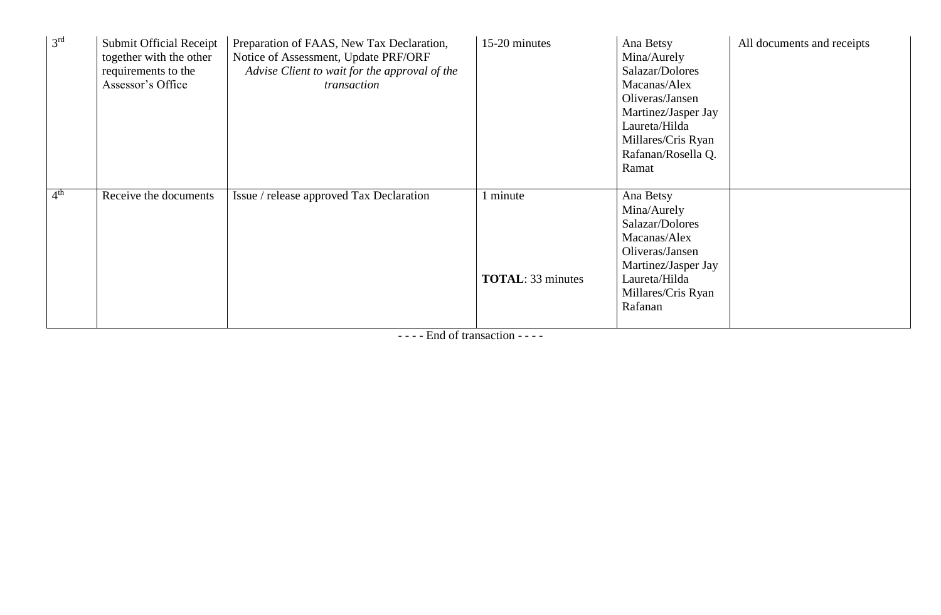| 3 <sup>rd</sup> | <b>Submit Official Receipt</b><br>together with the other<br>requirements to the<br>Assessor's Office | Preparation of FAAS, New Tax Declaration,<br>Notice of Assessment, Update PRF/ORF<br>Advise Client to wait for the approval of the<br>transaction | 15-20 minutes                        | Ana Betsy<br>Mina/Aurely<br>Salazar/Dolores<br>Macanas/Alex<br>Oliveras/Jansen<br>Martinez/Jasper Jay<br>Laureta/Hilda<br>Millares/Cris Ryan<br>Rafanan/Rosella Q.<br>Ramat | All documents and receipts |
|-----------------|-------------------------------------------------------------------------------------------------------|---------------------------------------------------------------------------------------------------------------------------------------------------|--------------------------------------|-----------------------------------------------------------------------------------------------------------------------------------------------------------------------------|----------------------------|
| 4 <sup>th</sup> | Receive the documents                                                                                 | Issue / release approved Tax Declaration                                                                                                          | 1 minute<br><b>TOTAL: 33 minutes</b> | Ana Betsy<br>Mina/Aurely<br>Salazar/Dolores<br>Macanas/Alex<br>Oliveras/Jansen<br>Martinez/Jasper Jay<br>Laureta/Hilda<br>Millares/Cris Ryan<br>Rafanan                     |                            |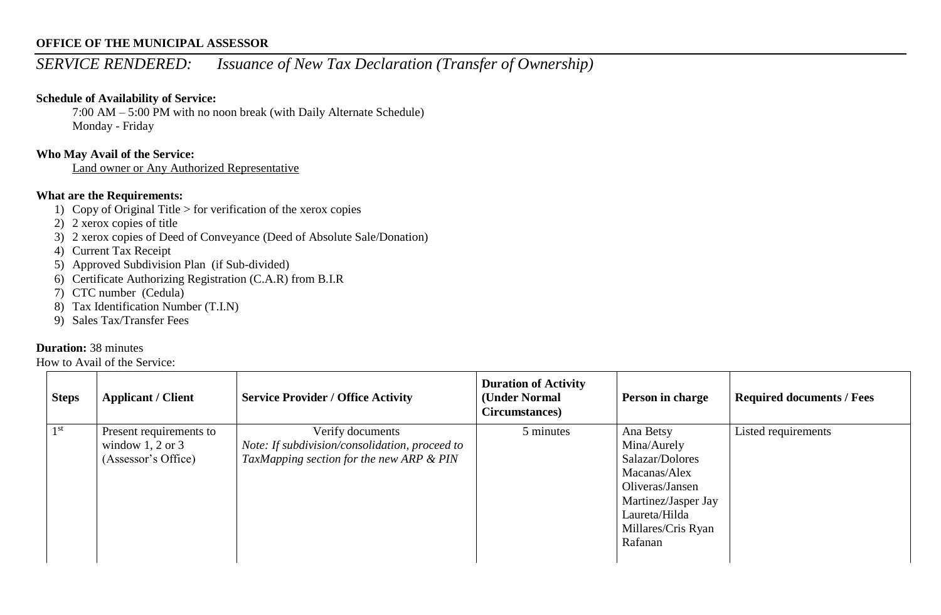# *SERVICE RENDERED: Issuance of New Tax Declaration (Transfer of Ownership)*

## **Schedule of Availability of Service:**

7:00 AM – 5:00 PM with no noon break (with Daily Alternate Schedule) Monday - Friday

# **Who May Avail of the Service:**

Land owner or Any Authorized Representative

## **What are the Requirements:**

- 1) Copy of Original Title  $>$  for verification of the xerox copies
- 2) 2 xerox copies of title
- 3) 2 xerox copies of Deed of Conveyance (Deed of Absolute Sale/Donation)
- 4) Current Tax Receipt
- 5) Approved Subdivision Plan (if Sub-divided)
- 6) Certificate Authorizing Registration (C.A.R) from B.I.R
- 7) CTC number (Cedula)
- 8) Tax Identification Number (T.I.N)
- 9) Sales Tax/Transfer Fees

#### **Duration:** 38 minutes

| <b>Steps</b>    | <b>Applicant / Client</b>                                              | <b>Service Provider / Office Activity</b>                                                                      | <b>Duration of Activity</b><br>(Under Normal<br>Circumstances) | <b>Person in charge</b>                                                                                                                                 | <b>Required documents / Fees</b> |
|-----------------|------------------------------------------------------------------------|----------------------------------------------------------------------------------------------------------------|----------------------------------------------------------------|---------------------------------------------------------------------------------------------------------------------------------------------------------|----------------------------------|
| 1 <sup>st</sup> | Present requirements to<br>window $1, 2$ or $3$<br>(Assessor's Office) | Verify documents<br>Note: If subdivision/consolidation, proceed to<br>TaxMapping section for the new ARP & PIN | 5 minutes                                                      | Ana Betsy<br>Mina/Aurely<br>Salazar/Dolores<br>Macanas/Alex<br>Oliveras/Jansen<br>Martinez/Jasper Jay<br>Laureta/Hilda<br>Millares/Cris Ryan<br>Rafanan | Listed requirements              |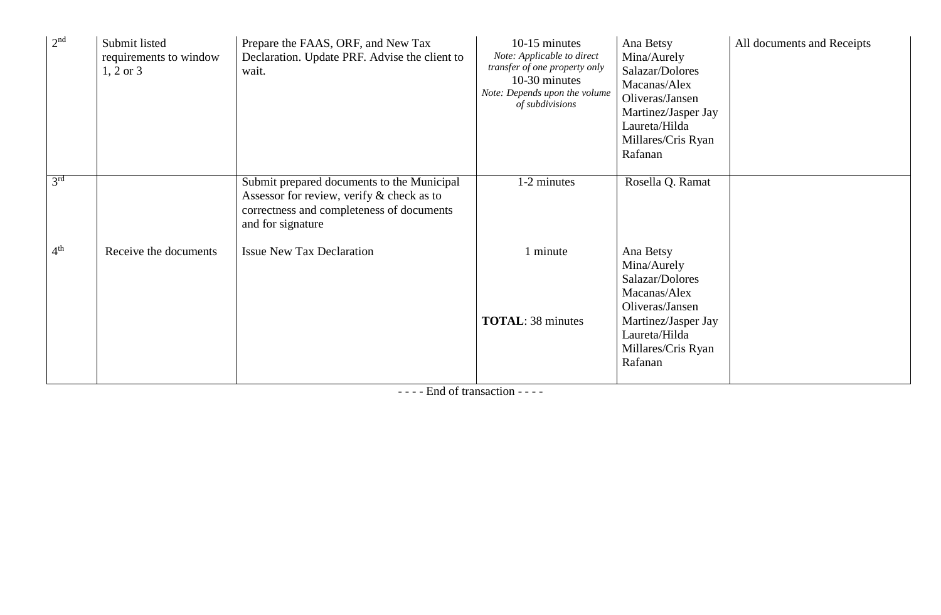| 2 <sup>nd</sup> | Submit listed<br>requirements to window<br>$1, 2 \text{ or } 3$ | Prepare the FAAS, ORF, and New Tax<br>Declaration. Update PRF. Advise the client to<br>wait.                                                              | 10-15 minutes<br>Note: Applicable to direct<br>transfer of one property only<br>10-30 minutes<br>Note: Depends upon the volume<br>of subdivisions | Ana Betsy<br>Mina/Aurely<br>Salazar/Dolores<br>Macanas/Alex<br>Oliveras/Jansen<br>Martinez/Jasper Jay<br>Laureta/Hilda<br>Millares/Cris Ryan<br>Rafanan | All documents and Receipts |
|-----------------|-----------------------------------------------------------------|-----------------------------------------------------------------------------------------------------------------------------------------------------------|---------------------------------------------------------------------------------------------------------------------------------------------------|---------------------------------------------------------------------------------------------------------------------------------------------------------|----------------------------|
| 3 <sup>rd</sup> |                                                                 | Submit prepared documents to the Municipal<br>Assessor for review, verify & check as to<br>correctness and completeness of documents<br>and for signature | 1-2 minutes                                                                                                                                       | Rosella Q. Ramat                                                                                                                                        |                            |
| 4 <sup>th</sup> | Receive the documents                                           | <b>Issue New Tax Declaration</b>                                                                                                                          | 1 minute<br><b>TOTAL: 38 minutes</b>                                                                                                              | Ana Betsy<br>Mina/Aurely<br>Salazar/Dolores<br>Macanas/Alex<br>Oliveras/Jansen<br>Martinez/Jasper Jay<br>Laureta/Hilda<br>Millares/Cris Ryan<br>Rafanan |                            |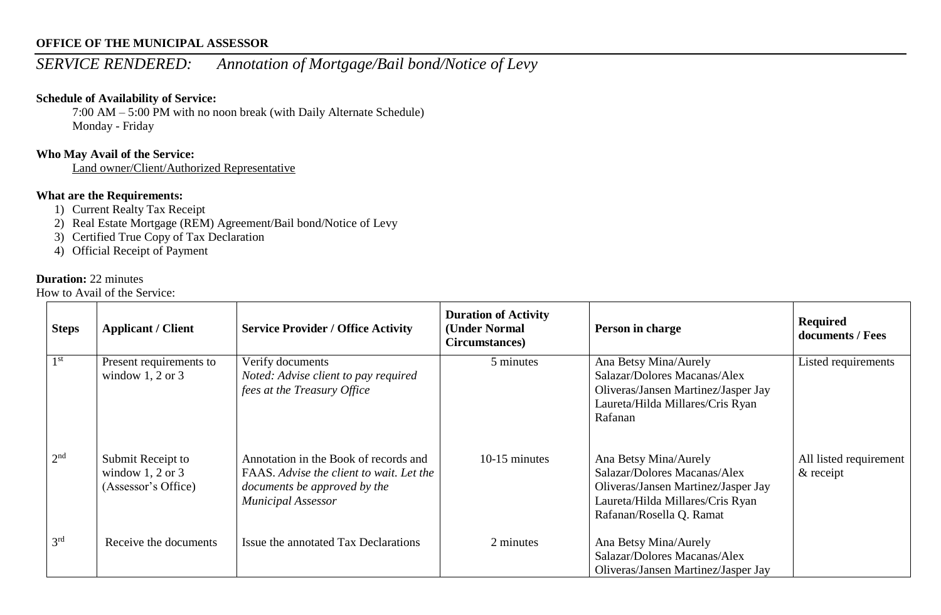# *SERVICE RENDERED: Annotation of Mortgage/Bail bond/Notice of Levy*

#### **Schedule of Availability of Service:**

7:00 AM – 5:00 PM with no noon break (with Daily Alternate Schedule) Monday - Friday

# **Who May Avail of the Service:**

Land owner/Client/Authorized Representative

# **What are the Requirements:**

- 1) Current Realty Tax Receipt
- 2) Real Estate Mortgage (REM) Agreement/Bail bond/Notice of Levy
- 3) Certified True Copy of Tax Declaration
- 4) Official Receipt of Payment

#### **Duration:** 22 minutes

| <b>Steps</b>    | <b>Applicant / Client</b>                                        | <b>Service Provider / Office Activity</b>                                                                                                      | <b>Duration of Activity</b><br>(Under Normal<br>Circumstances) | Person in charge                                                                                                                                             | Required<br>documents / Fees           |
|-----------------|------------------------------------------------------------------|------------------------------------------------------------------------------------------------------------------------------------------------|----------------------------------------------------------------|--------------------------------------------------------------------------------------------------------------------------------------------------------------|----------------------------------------|
| 1 <sup>st</sup> | Present requirements to<br>window $1, 2$ or $3$                  | Verify documents<br>Noted: Advise client to pay required<br>fees at the Treasury Office                                                        | 5 minutes                                                      | Ana Betsy Mina/Aurely<br>Salazar/Dolores Macanas/Alex<br>Oliveras/Jansen Martinez/Jasper Jay<br>Laureta/Hilda Millares/Cris Ryan<br>Rafanan                  | Listed requirements                    |
| 2 <sup>nd</sup> | Submit Receipt to<br>window $1, 2$ or $3$<br>(Assessor's Office) | Annotation in the Book of records and<br>FAAS. Advise the client to wait. Let the<br>documents be approved by the<br><b>Municipal Assessor</b> | 10-15 minutes                                                  | Ana Betsy Mina/Aurely<br>Salazar/Dolores Macanas/Alex<br>Oliveras/Jansen Martinez/Jasper Jay<br>Laureta/Hilda Millares/Cris Ryan<br>Rafanan/Rosella Q. Ramat | All listed requirement<br>$\&$ receipt |
| 3 <sup>rd</sup> | Receive the documents                                            | Issue the annotated Tax Declarations                                                                                                           | 2 minutes                                                      | Ana Betsy Mina/Aurely<br>Salazar/Dolores Macanas/Alex<br>Oliveras/Jansen Martinez/Jasper Jay                                                                 |                                        |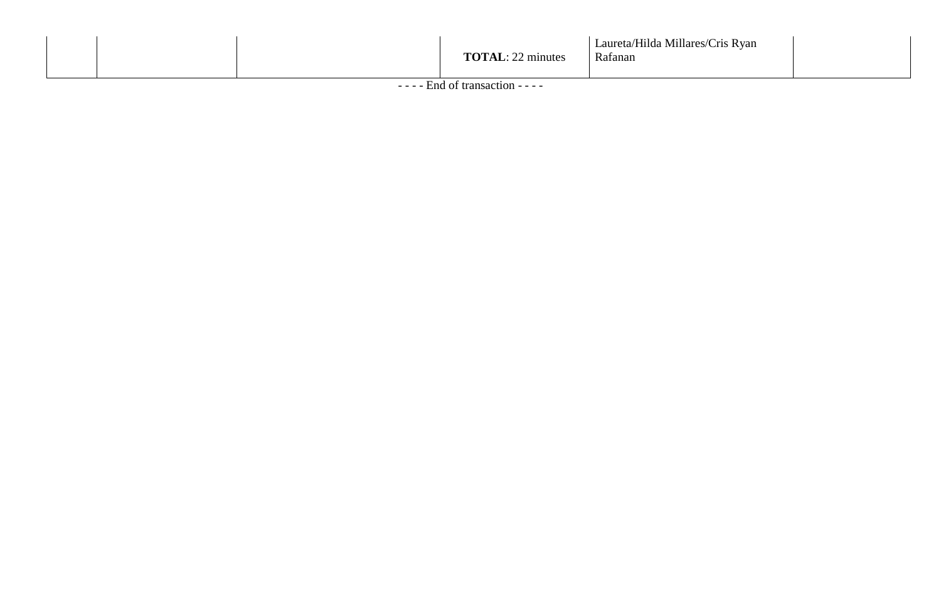|  |  |  | <b>TOTAL:</b> 22 minutes | Laureta/Hilda Millares/Cris Ryan<br>Rafanan |  |
|--|--|--|--------------------------|---------------------------------------------|--|
|--|--|--|--------------------------|---------------------------------------------|--|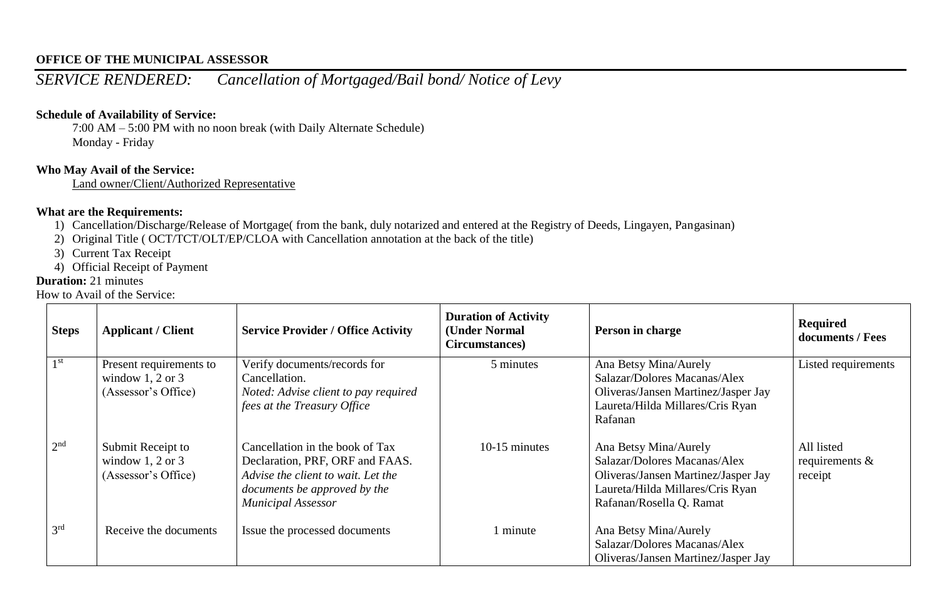*SERVICE RENDERED: Cancellation of Mortgaged/Bail bond/ Notice of Levy*

#### **Schedule of Availability of Service:**

7:00 AM – 5:00 PM with no noon break (with Daily Alternate Schedule) Monday - Friday

## **Who May Avail of the Service:**

Land owner/Client/Authorized Representative

# **What are the Requirements:**

- 1) Cancellation/Discharge/Release of Mortgage( from the bank, duly notarized and entered at the Registry of Deeds, Lingayen, Pangasinan)
- 2) Original Title ( OCT/TCT/OLT/EP/CLOA with Cancellation annotation at the back of the title)
- 3) Current Tax Receipt
- 4) Official Receipt of Payment

# **Duration:** 21 minutes

| <b>Steps</b>    | <b>Applicant / Client</b>                                          | <b>Service Provider / Office Activity</b>                                                                                                                             | <b>Duration of Activity</b><br>(Under Normal<br>Circumstances) | Person in charge                                                                                                                                             | Required<br>documents / Fees               |
|-----------------|--------------------------------------------------------------------|-----------------------------------------------------------------------------------------------------------------------------------------------------------------------|----------------------------------------------------------------|--------------------------------------------------------------------------------------------------------------------------------------------------------------|--------------------------------------------|
| 1 <sup>st</sup> | Present requirements to<br>window 1, 2 or 3<br>(Assessor's Office) | Verify documents/records for<br>Cancellation.<br>Noted: Advise client to pay required<br>fees at the Treasury Office                                                  | 5 minutes                                                      | Ana Betsy Mina/Aurely<br>Salazar/Dolores Macanas/Alex<br>Oliveras/Jansen Martinez/Jasper Jay<br>Laureta/Hilda Millares/Cris Ryan<br>Rafanan                  | Listed requirements                        |
| 2 <sup>nd</sup> | Submit Receipt to<br>window 1, 2 or 3<br>(Assessor's Office)       | Cancellation in the book of Tax<br>Declaration, PRF, ORF and FAAS.<br>Advise the client to wait. Let the<br>documents be approved by the<br><b>Municipal Assessor</b> | $10-15$ minutes                                                | Ana Betsy Mina/Aurely<br>Salazar/Dolores Macanas/Alex<br>Oliveras/Jansen Martinez/Jasper Jay<br>Laureta/Hilda Millares/Cris Ryan<br>Rafanan/Rosella Q. Ramat | All listed<br>requirements $\&$<br>receipt |
| 3 <sup>rd</sup> | Receive the documents                                              | Issue the processed documents                                                                                                                                         | 1 minute                                                       | Ana Betsy Mina/Aurely<br>Salazar/Dolores Macanas/Alex<br>Oliveras/Jansen Martinez/Jasper Jay                                                                 |                                            |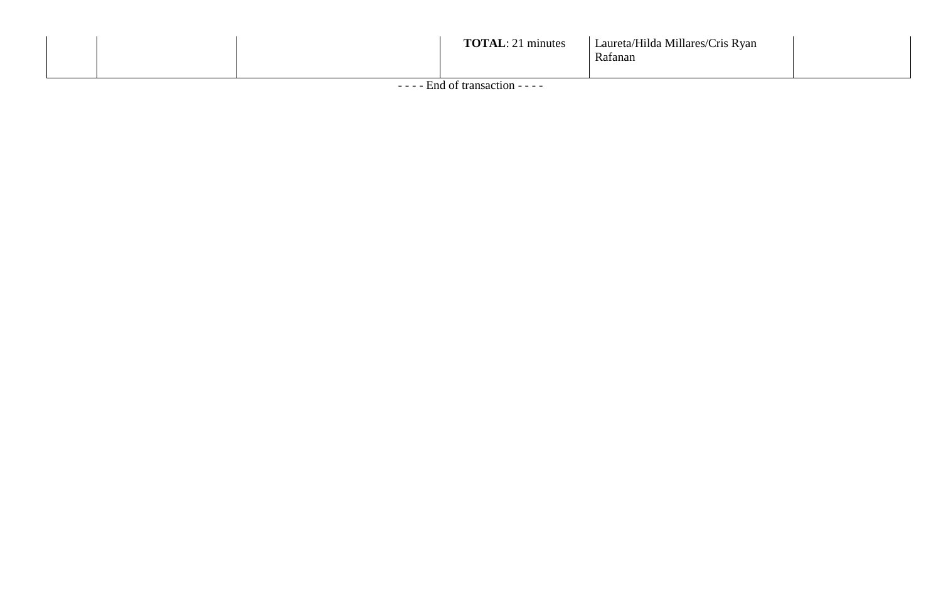|  | <b>TRATE AT</b><br>$\frac{1}{2}$ 1 minutes | Laureta/Hilda Millares/Cris Ryan<br>Rafanan |  |
|--|--------------------------------------------|---------------------------------------------|--|
|--|--------------------------------------------|---------------------------------------------|--|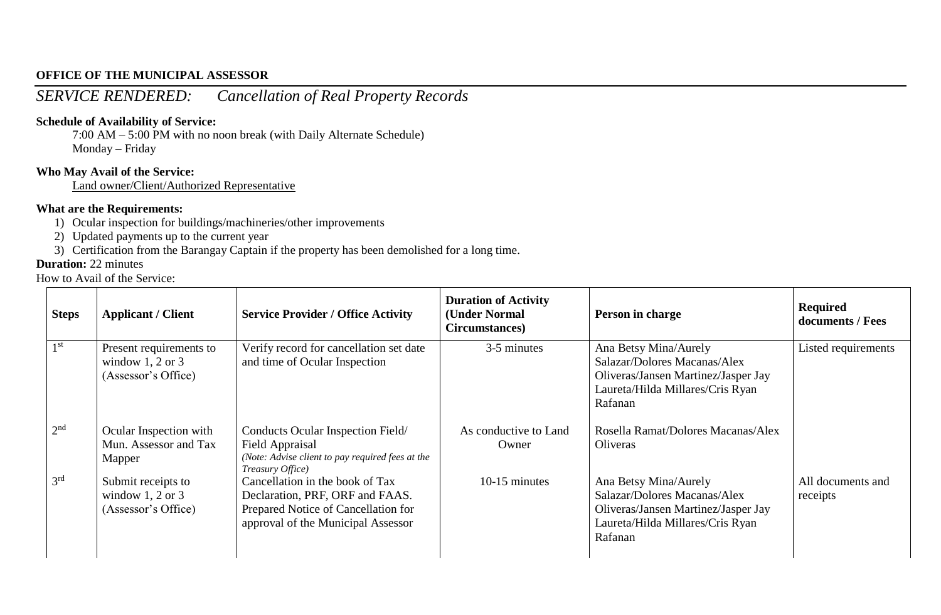# *SERVICE RENDERED: Cancellation of Real Property Records*

#### **Schedule of Availability of Service:**

7:00 AM – 5:00 PM with no noon break (with Daily Alternate Schedule) Monday – Friday

# **Who May Avail of the Service:**

Land owner/Client/Authorized Representative

# **What are the Requirements:**

- 1) Ocular inspection for buildings/machineries/other improvements
- 2) Updated payments up to the current year
- 3) Certification from the Barangay Captain if the property has been demolished for a long time.

#### **Duration:** 22 minutes

| <b>Steps</b>    | <b>Applicant / Client</b>                                              | <b>Service Provider / Office Activity</b>                                                                                                       | <b>Duration of Activity</b><br>(Under Normal<br>Circumstances) | Person in charge                                                                                                                            | <b>Required</b><br>documents / Fees |
|-----------------|------------------------------------------------------------------------|-------------------------------------------------------------------------------------------------------------------------------------------------|----------------------------------------------------------------|---------------------------------------------------------------------------------------------------------------------------------------------|-------------------------------------|
| 1 <sup>st</sup> | Present requirements to<br>window $1, 2$ or $3$<br>(Assessor's Office) | Verify record for cancellation set date<br>and time of Ocular Inspection                                                                        | 3-5 minutes                                                    | Ana Betsy Mina/Aurely<br>Salazar/Dolores Macanas/Alex<br>Oliveras/Jansen Martinez/Jasper Jay<br>Laureta/Hilda Millares/Cris Ryan<br>Rafanan | Listed requirements                 |
| 2 <sup>nd</sup> | Ocular Inspection with<br>Mun. Assessor and Tax<br>Mapper              | Conducts Ocular Inspection Field/<br>Field Appraisal<br>(Note: Advise client to pay required fees at the<br>Treasury Office)                    | As conductive to Land<br>Owner                                 | Rosella Ramat/Dolores Macanas/Alex<br>Oliveras                                                                                              |                                     |
| 3 <sup>rd</sup> | Submit receipts to<br>window $1, 2$ or $3$<br>(Assessor's Office)      | Cancellation in the book of Tax<br>Declaration, PRF, ORF and FAAS.<br>Prepared Notice of Cancellation for<br>approval of the Municipal Assessor | $10-15$ minutes                                                | Ana Betsy Mina/Aurely<br>Salazar/Dolores Macanas/Alex<br>Oliveras/Jansen Martinez/Jasper Jay<br>Laureta/Hilda Millares/Cris Ryan<br>Rafanan | All documents and<br>receipts       |